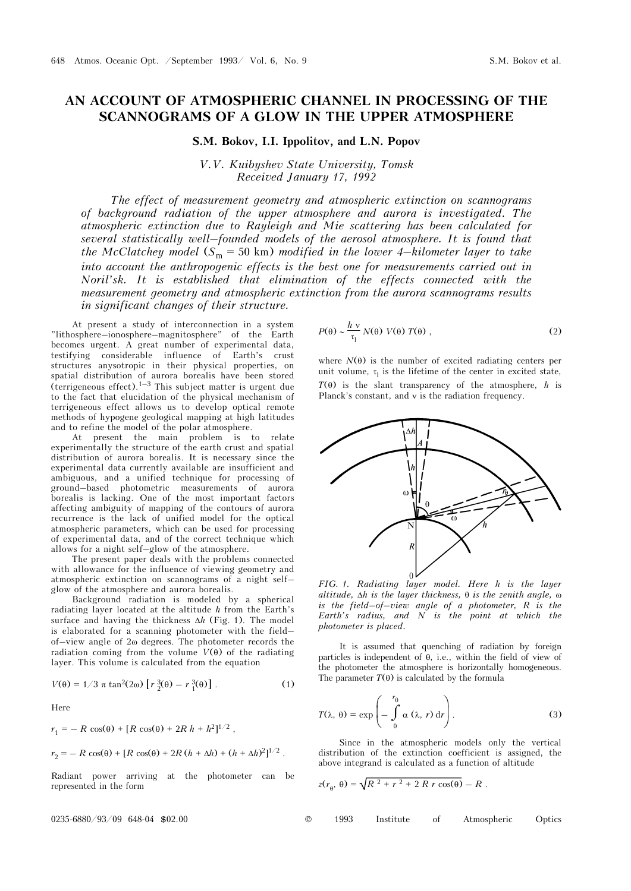## **AN ACCOUNT OF ATMOSPHERIC CHANNEL IN PROCESSING OF THE SCANNOGRAMS OF A GLOW IN THE UPPER ATMOSPHERE**

**S.M. Bokov, I.I. Ippolitov, and L.N. Popov**

*V.V. Kuibyshev State University, Tomsk Received January 17, 1992* 

*The effect of measurement geometry and atmospheric extinction on scannograms of background radiation of the upper atmosphere and aurora is investigated. The atmospheric extinction due to Rayleigh and Mie scattering has been calculated for several statistically well–founded models of the aerosol atmosphere. It is found that the McClatchey model*  $(S_m = 50 \text{ km})$  *modified in the lower 4–kilometer layer to take into account the anthropogenic effects is the best one for measurements carried out in Noril'sk. It is established that elimination of the effects connected with the measurement geometry and atmospheric extinction from the aurora scannograms results in significant changes of their structure.*

At present a study of interconnection in a system "lithosphere–ionosphere–magnitosphere" of the Earth becomes urgent. A great number of experimental data, testifying considerable influence of Earth's crust structures anysotropic in their physical properties, on spatial distribution of aurora borealis have been stored (terrigeneous effect).<sup>1–3</sup> This subject matter is urgent due to the fact that elucidation of the physical mechanism of terrigeneous effect allows us to develop optical remote methods of hypogene geological mapping at high latitudes and to refine the model of the polar atmosphere.

At present the main problem is to relate experimentally the structure of the earth crust and spatial distribution of aurora borealis. It is necessary since the experimental data currently available are insufficient and ambiguous, and a unified technique for processing of ground–based photometric measurements of aurora borealis is lacking. One of the most important factors affecting ambiguity of mapping of the contours of aurora recurrence is the lack of unified model for the optical atmospheric parameters, which can be used for processing of experimental data, and of the correct technique which allows for a night self–glow of the atmosphere.

The present paper deals with the problems connected with allowance for the influence of viewing geometry and atmospheric extinction on scannograms of a night self– glow of the atmosphere and aurora borealis.

Background radiation is modeled by a spherical radiating layer located at the altitude *h* from the Earth's surface and having the thickness Δ*h* (Fig. 1). The model is elaborated for a scanning photometer with the field– of–view angle of 2ω degrees. The photometer records the radiation coming from the volume  $V(\theta)$  of the radiating layer. This volume is calculated from the equation

$$
V(\theta) = 1/3 \pi \tan^2(2\omega) \left[ r \frac{3}{2}(\theta) - r \frac{3}{1}(\theta) \right].
$$
 (1)

Here

$$
r_1 = -R \cos(\theta) + [R \cos(\theta) + 2R h + h^2]^{1/2},
$$
  

$$
r_2 = -R \cos(\theta) + [R \cos(\theta) + 2R (h + \Delta h) + (h + \Delta h)^2]^{1/2}.
$$

Radiant power arriving at the photometer can be represented in the form

$$
P(\theta) \sim \frac{h v}{\tau_1} N(\theta) V(\theta) T(\theta) , \qquad (2)
$$

where  $N(\theta)$  is the number of excited radiating centers per unit volume,  $\tau_1$  is the lifetime of the center in excited state, *T*(θ) is the slant transparency of the atmosphere, *h* is Planck's constant, and ν is the radiation frequency.



*FIG. 1. Radiating layer model. Here h is the layer altitude,* Δ*h is the layer thickness,* θ *is the zenith angle,* ω *is the field–of–view angle of a photometer, R is the Earth's radius, and N is the point at which the photometer is placed.*

It is assumed that quenching of radiation by foreign particles is independent of θ, i.e., within the field of view of the photometer the atmosphere is horizontally homogeneous. The parameter  $T(\theta)$  is calculated by the formula

$$
T(\lambda, \theta) = \exp\left(-\int_{0}^{r_{\theta}} \alpha(\lambda, r) dr\right).
$$
 (3)

Since in the atmospheric models only the vertical distribution of the extinction coefficient is assigned, the above integrand is calculated as a function of altitude

$$
z(r_{\theta},\,\theta) = \sqrt{R^2 + r^2 + 2\,R\,r\,\cos(\theta)} - R\;.
$$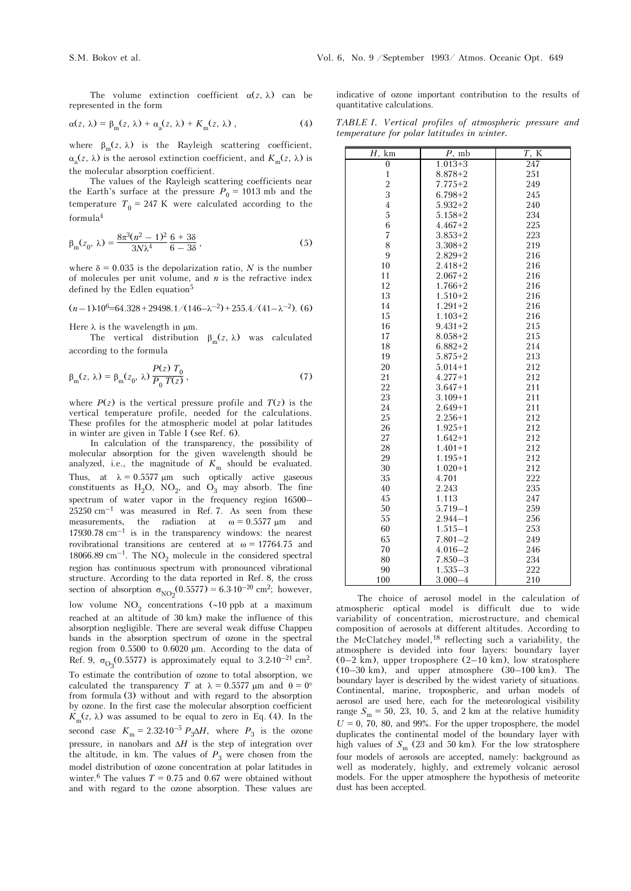The volume extinction coefficient  $\alpha(z, \lambda)$  can be represented in the form

$$
\alpha(z, \lambda) = \beta_{\rm m}(z, \lambda) + \alpha_{\rm a}(z, \lambda) + K_{\rm m}(z, \lambda) , \qquad (4)
$$

where  $\beta_{\rm m}(z, \lambda)$  is the Rayleigh scattering coefficient,  $\alpha_{n}(z, \lambda)$  is the aerosol extinction coefficient, and  $K_{m}(z, \lambda)$  is the molecular absorption coefficient.

The values of the Rayleigh scattering coefficients near the Earth's surface at the pressure  $P_0 = 1013$  mb and the temperature  $T_0 = 247$  K were calculated according to the formula<sup>4</sup>

$$
\beta_{\rm m}(z_0, \lambda) = \frac{8\pi^3(n^2 - 1)^2}{3N\lambda^4} \frac{6 + 3\delta}{6 - 3\delta},\tag{5}
$$

where  $\delta = 0.035$  is the depolarization ratio, N is the number of molecules per unit volume, and *n* is the refractive index defined by the Edlen equation<sup>5</sup>

$$
(n-1) \cdot 10^6 = 64.328 + 29498.1 / (146 - \lambda^{-2}) + 255.4 / (41 - \lambda^{-2}).
$$
 (6)

Here  $\lambda$  is the wavelength in  $\mu$ m.

The vertical distribution  $\beta_m(z, \lambda)$  was calculated according to the formula

$$
\beta_{\rm m}(z, \lambda) = \beta_{\rm m}(z_0, \lambda) \frac{P(z) T_0}{P_0 T(z)},
$$
\n(7)

where  $P(z)$  is the vertical pressure profile and  $T(z)$  is the vertical temperature profile, needed for the calculations. These profiles for the atmospheric model at polar latitudes in winter are given in Table I (see Ref. 6).

In calculation of the transparency, the possibility of molecular absorption for the given wavelength should be analyzed, i.e., the magnitude of  $K_{\text{m}}$  should be evaluated. Thus, at  $\lambda = 0.5577 \text{ }\mu\text{m}$  such optically active gaseous constituents as  $H_2O$ ,  $NO_2$ , and  $O_3$  may absorb. The fine spectrum of water vapor in the frequency region 16500–  $25250$  cm<sup>-1</sup> was measured in Ref. 7. As seen from these measurements, the radiation at  $\omega = 0.5577 \text{ }\mu\text{m}$  and 17930.78  $cm^{-1}$  is in the transparency windows: the nearest rovibrational transitions are centered at  $\omega = 17764.75$  and  $18066.89 \mathrm{~cm}^{-1}$ . The  $\mathrm{NO}_2$  molecule in the considered spectral region has continuous spectrum with pronounced vibrational structure. According to the data reported in Ref. 8, the cross section of absorption  $\sigma_{NO_2}(0.5577) \approx 6.3 \cdot 10^{-20}$  cm<sup>2</sup>; however, low volume  $NO<sub>2</sub>$  concentrations (∼10 ppb at a maximum reached at an altitude of 30 km) make the influence of this absorption negligible. There are several weak diffuse Chappeu bands in the absorption spectrum of ozone in the spectral region from 0.5500 to 0.6020 μm. According to the data of Ref. 9,  $\sigma_{\text{O}_3}(0.5577)$  is approximately equal to 3.2⋅10<sup>-21</sup> cm<sup>2</sup>. To estimate the contribution of ozone to total absorption, we calculated the transparency *T* at  $\lambda = 0.5577 \text{ µm}$  and  $\theta = 0^{\circ}$ from formula (3) without and with regard to the absorption by ozone. In the first case the molecular absorption coefficient  $K_m(z, \lambda)$  was assumed to be equal to zero in Eq. (4). In the second case  $K_{\text{m}} = 2.32 \cdot 10^{-5} P_3 \Delta H$ , where  $P_3$  is the ozone pressure, in nanobars and Δ*H* is the step of integration over the altitude, in km. The values of  $P_3$  were chosen from the model distribution of ozone concentration at polar latitudes in winter.<sup>6</sup> The values  $T = 0.75$  and 0.67 were obtained without and with regard to the ozone absorption. These values are

indicative of ozone important contribution to the results of quantitative calculations.

*TABLE I. Vertical profiles of atmospheric pressure and temperature for polar latitudes in winter.*

| km<br>$\overline{H},$ | $P$ , mb    | $T$ , K |
|-----------------------|-------------|---------|
| $\boldsymbol{0}$      | $1.013 + 3$ | 247     |
| $\mathbf{1}$          | $8.878 + 2$ | 251     |
|                       | $7.775 + 2$ | 249     |
| $\frac{2}{3}$         | $6.798 + 2$ | 245     |
| $\overline{4}$        | $5.932+2$   | 240     |
| 5                     | $5.158 + 2$ | 234     |
| 6                     | $4.467 + 2$ | 225     |
| $\overline{7}$        | $3.853 + 2$ | 223     |
| 8                     | $3.308 + 2$ | 219     |
| 9                     | $2.829 + 2$ | 216     |
| 10                    | $2.418 + 2$ | 216     |
| 11                    | $2.067+2$   | 216     |
| 12                    | $1.766 + 2$ | 216     |
| 13                    | $1.510+2$   | 216     |
| 14                    | $1.291 + 2$ | 216     |
| 15                    | $1.103 + 2$ | 216     |
| 16                    | $9.431 + 2$ | 215     |
| 17                    | $8.058 + 2$ | 215     |
| 18                    | $6.882 + 2$ | 214     |
| 19                    | $5.875 + 2$ | 213     |
| 20                    | $5.014 + 1$ | 212     |
| 21                    | $4.277 + 1$ | 212     |
| 22                    | $3.647 + 1$ | 211     |
| 23                    | $3.109 + 1$ | 211     |
| 24                    | $2.649+1$   | 211     |
| 25                    | $2.256 + 1$ | 212     |
| 26                    | $1.925 + 1$ | 212     |
| 27                    | $1.642 + 1$ | 212     |
| 28                    | $1.401 + 1$ | 212     |
| 29                    | $1.195 + 1$ | 212     |
| 30                    | $1.020 + 1$ | 212     |
| 35                    | 4.701       | 222     |
| 40                    | 2.243       | 235     |
| 45                    | 1.113       | 247     |
| 50                    | $5.719 - 1$ | 259     |
| 55                    | $2.944 - 1$ | 256     |
| 60                    | $1.515 - 1$ | 253     |
| 65                    | $7.801 - 2$ | 249     |
| 70                    | $4.016 - 2$ | 246     |
| 80                    | $7.850 - 3$ | 234     |
| 90                    | $1.535 - 3$ | 222     |
| 100                   | $3.000 - 4$ | 210     |

The choice of aerosol model in the calculation of atmospheric optical model is difficult due to wide variability of concentration, microstructure, and chemical composition of aerosols at different altitudes. According to the McClatchey model,18 reflecting such a variability, the atmosphere is devided into four layers: boundary layer  $(0-2 \text{ km})$ , upper troposphere  $(2-10 \text{ km})$ , low stratosphere (10–30 km), and upper atmosphere (30–100 km). The boundary layer is described by the widest variety of situations. Continental, marine, tropospheric, and urban models of aerosol are used here, each for the meteorological visibility range  $S_m = 50$ , 23, 10, 5, and 2 km at the relative humidity  $U = 0$ , 70, 80, and 99%. For the upper troposphere, the model duplicates the continental model of the boundary layer with high values of  $S_m$  (23 and 50 km). For the low stratosphere four models of aerosols are accepted, namely: background as well as moderately, highly, and extremely volcanic aerosol models. For the upper atmosphere the hypothesis of meteorite dust has been accepted.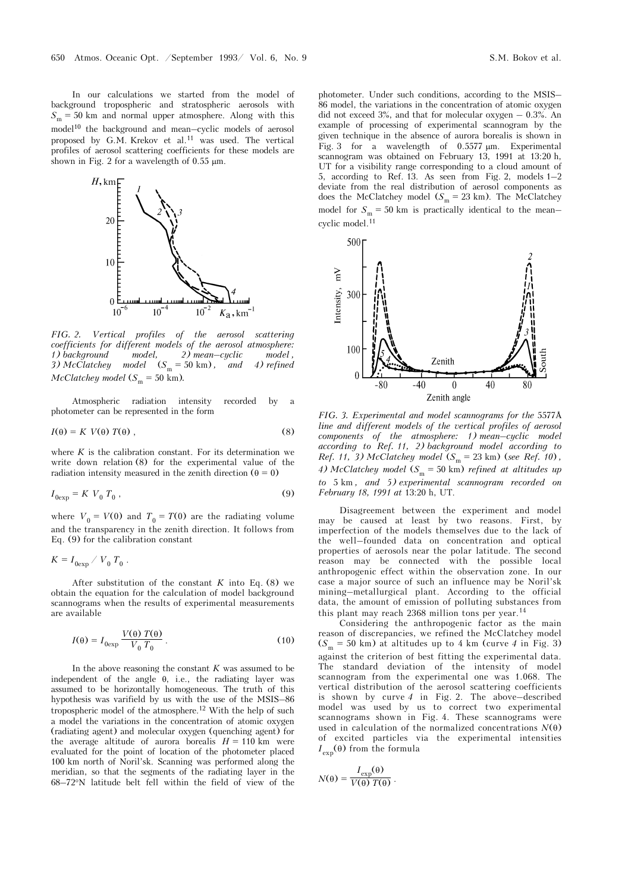In our calculations we started from the model of background tropospheric and stratospheric aerosols with  $S_m = 50$  km and normal upper atmosphere. Along with this model<sup>10</sup> the background and mean–cyclic models of aerosol proposed by G.M. Krekov et al.11 was used. The vertical profiles of aerosol scattering coefficients for these models are shown in Fig. 2 for a wavelength of 0.55 μm.



*FIG. 2. Vertical profiles of the aerosol scattering coefficients for different models of the aerosol atmosphere: 1) background model, 2) mean–cyclic model ,*  3) McClatchey model  $(S_m = 50 \text{ km})$ , and 4) refined  $McClatchey model (S<sub>m</sub> = 50 km).$ 

Atmospheric radiation intensity recorded by a photometer can be represented in the form

$$
I(\theta) = K V(\theta) T(\theta), \qquad (8)
$$

where  $K$  is the calibration constant. For its determination we write down relation (8) for the experimental value of the radiation intensity measured in the zenith direction ( $\theta = 0$ )

$$
I_{0\exp} = K V_0 T_0 , \qquad (9)
$$

where  $V_0 = V(0)$  and  $T_0 = T(0)$  are the radiating volume and the transparency in the zenith direction. It follows from Eq. (9) for the calibration constant

$$
K = I_{0 \exp} / V_0 T_0.
$$

After substitution of the constant  $K$  into Eq. (8) we obtain the equation for the calculation of model background scannograms when the results of experimental measurements are available

$$
I(\theta) = I_{0 \exp} \frac{V(\theta) T(\theta)}{V_0 T_0}.
$$
 (10)

In the above reasoning the constant *K* was assumed to be independent of the angle  $\theta$ , i.e., the radiating layer was assumed to be horizontally homogeneous. The truth of this hypothesis was varifield by us with the use of the MSIS–86 tropospheric model of the atmosphere.12 With the help of such a model the variations in the concentration of atomic oxygen (radiating agent) and molecular oxygen (quenching agent) for the average altitude of aurora borealis  $H = 110$  km were evaluated for the point of location of the photometer placed 100 km north of Noril'sk. Scanning was performed along the meridian, so that the segments of the radiating layer in the 68–72°N latitude belt fell within the field of view of the

photometer. Under such conditions, according to the MSIS– 86 model, the variations in the concentration of atomic oxygen did not exceed  $3\%$ , and that for molecular oxygen  $-0.3\%$ . An example of processing of experimental scannogram by the given technique in the absence of aurora borealis is shown in Fig. 3 for a wavelength of 0.5577 μm. Experimental scannogram was obtained on February 13, 1991 at 13:20 h, UT for a visibility range corresponding to a cloud amount of 5, according to Ref. 13. As seen from Fig. 2, models 1–2 deviate from the real distribution of aerosol components as does the McClatchey model ( $S_m = 23$  km). The McClatchey model for  $S_m = 50$  km is practically identical to the mean– cyclic model.11



*FIG. 3. Experimental and model scannograms for the* 5577Å *line and different models of the vertical profiles of aerosol components of the atmosphere: 1) mean–cyclic model according to Ref. 11, 2) background model according to Ref.* 11, 3) McClatchey model  $(S_m = 23 \text{ km})$  (*see Ref. 10*), *4) McClatchey model*  $(S_m = 50 \text{ km})$  *refined at altitudes up to* 5 km *, and 5) experimental scannogram recorded on February 18, 1991 at* 13:20 h, UT.

Disagreement between the experiment and model may be caused at least by two reasons. First, by imperfection of the models themselves due to the lack of the well–founded data on concentration and optical properties of aerosols near the polar latitude. The second reason may be connected with the possible local anthropogenic effect within the observation zone. In our case a major source of such an influence may be Noril'sk mining–metallurgical plant. According to the official data, the amount of emission of polluting substances from this plant may reach 2368 million tons per year.<sup>14</sup>

Considering the anthropogenic factor as the main reason of discrepancies, we refined the McClatchey model  $(S_m = 50 \text{ km})$  at altitudes up to 4 km (curve 4 in Fig. 3) against the criterion of best fitting the experimental data. The standard deviation of the intensity of model scannogram from the experimental one was 1.068. The vertical distribution of the aerosol scattering coefficients is shown by curve *4* in Fig. 2. The above–described model was used by us to correct two experimental scannograms shown in Fig. 4. These scannograms were used in calculation of the normalized concentrations  $N(\theta)$ of excited particles via the experimental intensities  $I_{\text{exp}}(\theta)$  from the formula

$$
N(\theta) = \frac{I_{\exp}(\theta)}{V(\theta) T(\theta)}.
$$